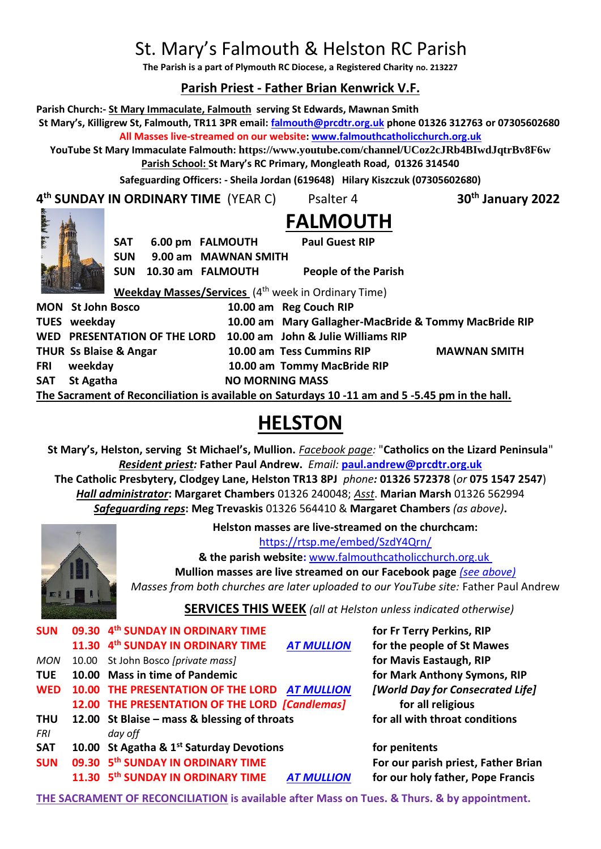# St. Mary's Falmouth & Helston RC Parish

**The Parish is a part of Plymouth RC Diocese, a Registered Charity no. 213227**

# **Parish Priest - Father Brian Kenwrick V.F.**

**Parish Church:- St Mary Immaculate, Falmouth serving St Edwards, Mawnan Smith**

**St Mary's, Killigrew St, Falmouth, TR11 3PR email: [falmouth@prcdtr.org.uk](mailto:falmouth@prcdtr.org.uk) phone 01326 312763 or 07305602680 All Masses live-streamed on our website[: www.falmouthcatholicchurch.org.uk](http://www.falmouthcatholicchurch.org.uk/)**

**YouTube St Mary Immaculate Falmouth: <https://www.youtube.com/channel/UCoz2cJRb4BIwdJqtrBv8F6w> Parish School: St Mary's RC Primary, Mongleath Road, 01326 314540**

**Safeguarding Officers: - Sheila Jordan (619648) Hilary Kiszczuk (07305602680)**

**4 th SUNDAY IN ORDINARY TIME** (YEAR C) Psalter 4 **30th January 2022**



**FALMOUTH** SAT 6.00 pm FALMOUTH Paul Guest RIP **SUN 9.00 am MAWNAN SMITH SUN 10.30 am FALMOUTH People of the Parish** 

**Weekday Masses/Services** (4 th week in Ordinary Time)

**MON St John Bosco 10.00 am Reg Couch RIP TUES weekday 10.00 am Mary Gallagher-MacBride & Tommy MacBride RIP WED PRESENTATION OF THE LORD 10.00 am John & Julie Williams RIP**

**THUR Ss Blaise & Angar 10.00 am Tess Cummins RIP MAWNAN SMITH FRI weekday 10.00 am Tommy MacBride RIP**

SAT St Agatha NO MORNING MASS

**The Sacrament of Reconciliation is available on Saturdays 10 -11 am and 5 -5.45 pm in the hall.**

# **HELSTON**

**St Mary's, Helston, serving St Michael's, Mullion.** *Facebook page:* "**Catholics on the Lizard Peninsula**" *Resident priest:* **Father Paul Andrew.** *Email:* **[paul.andrew@prcdtr.org.uk](mailto:paul.andrew@prcdtr.org.uk) The Catholic Presbytery, Clodgey Lane, Helston TR13 8PJ** *phone:* **01326 572378** (*or* **075 1547 2547**) *Hall administrator***: Margaret Chambers** 01326 240048; *Asst*. **Marian Marsh** 01326 562994 *Safeguarding reps***: Meg Trevaskis** 01326 564410 & **Margaret Chambers** *(as above)***.** 



**Helston masses are live-streamed on the churchcam:** 

<https://rtsp.me/embed/SzdY4Qrn/>

**& the parish website:** [www.falmouthcatholicchurch.org.uk](http://www.falmouthcatholicchurch.org.uk/)

**Mullion masses are live streamed on our Facebook page** *(see above) Masses from both churches are later uploaded to our YouTube site:* Father Paul Andrew

**SERVICES THIS WEEK** *(all at Helston unless indicated otherwise)*

| <b>SUN</b>               | 09.30 4th SUNDAY IN ORDINARY TIME                                  | for Fr Terry Perkins, RIP           |
|--------------------------|--------------------------------------------------------------------|-------------------------------------|
|                          | 11.30 4th SUNDAY IN ORDINARY TIME<br><b>AT MULLION</b>             | for the people of St Mawes          |
| <b>MON</b>               | 10.00 St John Bosco [private mass]                                 | for Mavis Eastaugh, RIP             |
| <b>TUE</b>               | 10.00 Mass in time of Pandemic                                     | for Mark Anthony Symons, RIP        |
| <b>WED</b>               | 10.00 THE PRESENTATION OF THE LORD AT MULLION                      | [World Day for Consecrated Life]    |
|                          | 12.00 THE PRESENTATION OF THE LORD [Candlemas]                     | for all religious                   |
| <b>THU</b><br><b>FRI</b> | 12.00 St Blaise - mass & blessing of throats<br>day off            | for all with throat conditions      |
| <b>SAT</b>               | 10.00 St Agatha & 1st Saturday Devotions                           | for penitents                       |
| <b>SUN</b>               | 09.30 5 <sup>th</sup> SUNDAY IN ORDINARY TIME                      | For our parish priest, Father Brian |
|                          | 11.30 5 <sup>th</sup> SUNDAY IN ORDINARY TIME<br><b>AT MULLION</b> | for our holy father, Pope Francis   |

**THE SACRAMENT OF RECONCILIATION is available after Mass on Tues. & Thurs. & by appointment.**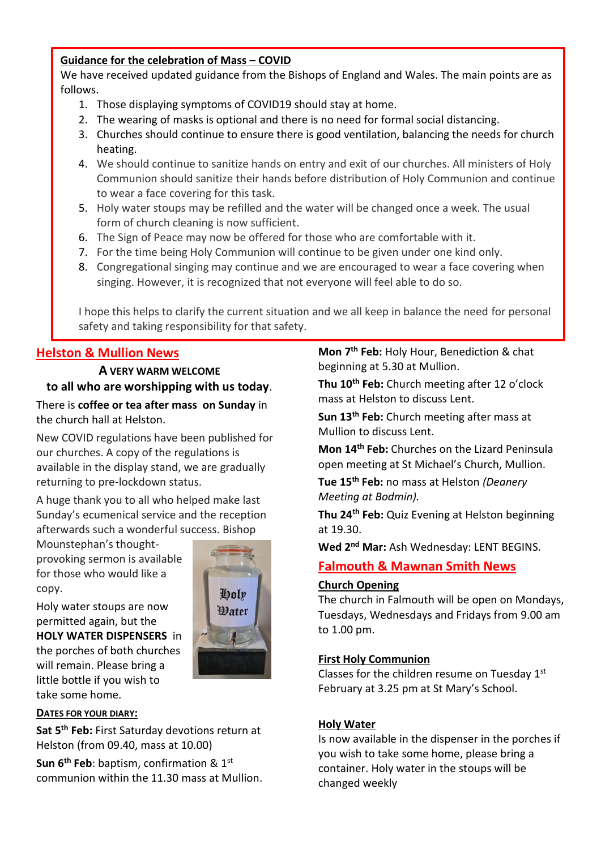# **Guidance for the celebration of Mass – COVID**

We have received updated guidance from the Bishops of England and Wales. The main points are as follows.

- 1. Those displaying symptoms of COVID19 should stay at home.
- 2. The wearing of masks is optional and there is no need for formal social distancing.
- 3. Churches should continue to ensure there is good ventilation, balancing the needs for church heating.
- 4. We should continue to sanitize hands on entry and exit of our churches. All ministers of Holy Communion should sanitize their hands before distribution of Holy Communion and continue to wear a face covering for this task.
- 5. Holy water stoups may be refilled and the water will be changed once a week. The usual form of church cleaning is now sufficient.
- 6. The Sign of Peace may now be offered for those who are comfortable with it.
- 7. For the time being Holy Communion will continue to be given under one kind only.
- 8. Congregational singing may continue and we are encouraged to wear a face covering when singing. However, it is recognized that not everyone will feel able to do so.

I hope this helps to clarify the current situation and we all keep in balance the need for personal safety and taking responsibility for that safety.

# **Helston & Mullion News**

**A VERY WARM WELCOME to all who are worshipping with us today**.

There is **coffee or tea after mass on Sunday** in the church hall at Helston.

New COVID regulations have been published for our churches. A copy of the regulations is available in the display stand, we are gradually returning to pre-lockdown status.

A huge thank you to all who helped make last Sunday's ecumenical service and the reception afterwards such a wonderful success. Bishop

Mounstephan's thoughtprovoking sermon is available for those who would like a copy.

Holy water stoups are now permitted again, but the **HOLY WATER DISPENSERS** in the porches of both churches will remain. Please bring a little bottle if you wish to take some home.



# **DATES FOR YOUR DIARY:**

**Sat 5th Feb:** First Saturday devotions return at Helston (from 09.40, mass at 10.00)

**Sun 6th Feb**: baptism, confirmation & 1st communion within the 11.30 mass at Mullion. **Mon 7th Feb:** Holy Hour, Benediction & chat beginning at 5.30 at Mullion.

**Thu 10th Feb:** Church meeting after 12 o'clock mass at Helston to discuss Lent.

**Sun 13th Feb:** Church meeting after mass at Mullion to discuss Lent.

**Mon 14th Feb:** Churches on the Lizard Peninsula open meeting at St Michael's Church, Mullion.

**Tue 15th Feb:** no mass at Helston *(Deanery Meeting at Bodmin).*

**Thu 24th Feb:** Quiz Evening at Helston beginning at 19.30.

**Wed 2nd Mar:** Ash Wednesday: LENT BEGINS.

# **Falmouth & Mawnan Smith News**

# **Church Opening**

The church in Falmouth will be open on Mondays, Tuesdays, Wednesdays and Fridays from 9.00 am to 1.00 pm.

# **First Holy Communion**

Classes for the children resume on Tuesday  $1<sup>st</sup>$ February at 3.25 pm at St Mary's School.

# **Holy Water**

Is now available in the dispenser in the porches if you wish to take some home, please bring a container. Holy water in the stoups will be changed weekly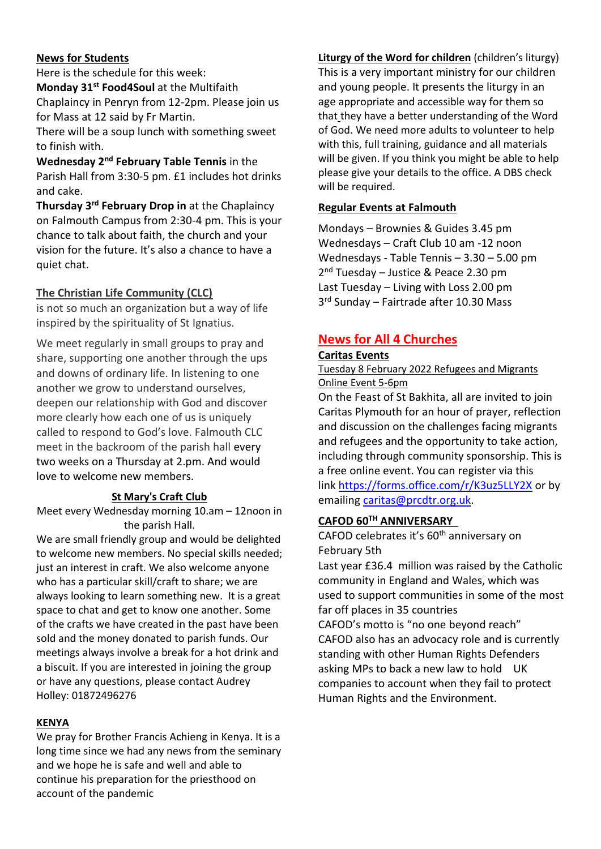# **News for Students**

Here is the schedule for this week:

**Monday 31st Food4Soul** at the Multifaith Chaplaincy in Penryn from 12-2pm. Please join us for Mass at 12 said by Fr Martin.

There will be a soup lunch with something sweet to finish with.

**Wednesday 2nd February Table Tennis** in the Parish Hall from 3:30-5 pm. £1 includes hot drinks and cake.

**Thursday 3rd February Drop in** at the Chaplaincy on Falmouth Campus from 2:30-4 pm. This is your chance to talk about faith, the church and your vision for the future. It's also a chance to have a quiet chat.

# **The Christian Life Community (CLC)**

is not so much an organization but a way of life inspired by the spirituality of St Ignatius.

We meet regularly in small groups to pray and share, supporting one another through the ups and downs of ordinary life. In listening to one another we grow to understand ourselves, deepen our relationship with God and discover more clearly how each one of us is uniquely called to respond to God's love. Falmouth CLC meet in the backroom of the parish hall every two weeks on a Thursday at 2.pm. And would love to welcome new members.

### **St Mary's Craft Club**

Meet every Wednesday morning 10.am – 12noon in the parish Hall.

We are small friendly group and would be delighted to welcome new members. No special skills needed; just an interest in craft. We also welcome anyone who has a particular skill/craft to share; we are always looking to learn something new. It is a great space to chat and get to know one another. Some of the crafts we have created in the past have been sold and the money donated to parish funds. Our meetings always involve a break for a hot drink and a biscuit. If you are interested in joining the group or have any questions, please contact Audrey Holley: 01872496276

### **KENYA**

We pray for Brother Francis Achieng in Kenya. It is a long time since we had any news from the seminary and we hope he is safe and well and able to continue his preparation for the priesthood on account of the pandemic

**Liturgy of the Word for children** (children's liturgy) This is a very important ministry for our children and young people. It presents the liturgy in an age appropriate and accessible way for them so that they have a better understanding of the Word of God. We need more adults to volunteer to help with this, full training, guidance and all materials will be given. If you think you might be able to help please give your details to the office. A DBS check will be required.

#### **Regular Events at Falmouth**

Mondays – Brownies & Guides 3.45 pm Wednesdays – Craft Club 10 am -12 noon Wednesdays - Table Tennis – 3.30 – 5.00 pm 2<sup>nd</sup> Tuesday - Justice & Peace 2.30 pm Last Tuesday – Living with Loss 2.00 pm 3 rd Sunday – Fairtrade after 10.30 Mass

# **News for All 4 Churches**

# **Caritas Events**

Tuesday 8 February 2022 Refugees and Migrants Online Event 5-6pm

On the Feast of St Bakhita, all are invited to join Caritas Plymouth for an hour of prayer, reflection and discussion on the challenges facing migrants and refugees and the opportunity to take action, including through community sponsorship. This is a free online event. You can register via this link <https://forms.office.com/r/K3uz5LLY2X> or by emailin[g caritas@prcdtr.org.uk.](mailto:caritas@prcdtr.org.uk)

# **CAFOD 60 TH ANNIVERSARY**

CAFOD celebrates it's 60<sup>th</sup> anniversary on February 5th

Last year £36.4 million was raised by the Catholic community in England and Wales, which was used to support communities in some of the most far off places in 35 countries

CAFOD's motto is "no one beyond reach" CAFOD also has an advocacy role and is currently standing with other Human Rights Defenders asking MPs to back a new law to hold UK companies to account when they fail to protect Human Rights and the Environment.